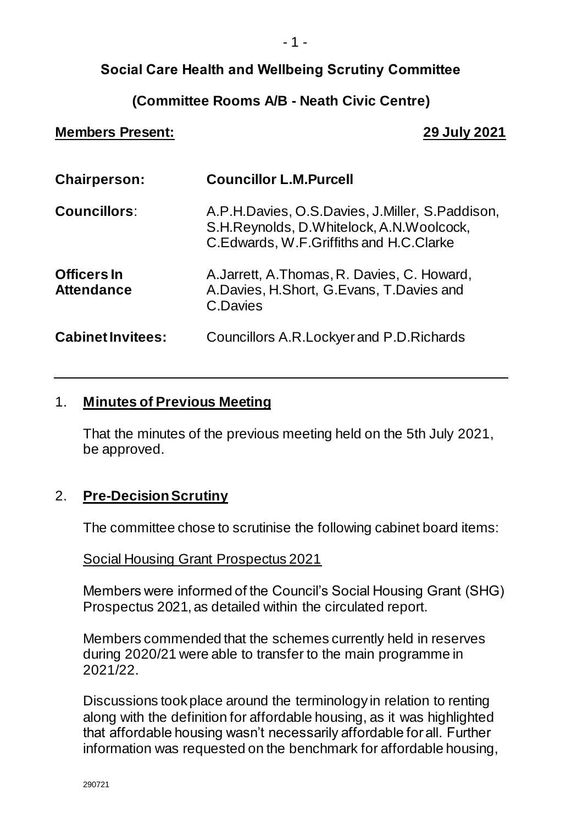## **Social Care Health and Wellbeing Scrutiny Committee**

### **(Committee Rooms A/B - Neath Civic Centre)**

#### **Members Present: 29 July 2021**

| <b>Chairperson:</b>                     | <b>Councillor L.M.Purcell</b>                                                                                                              |
|-----------------------------------------|--------------------------------------------------------------------------------------------------------------------------------------------|
| <b>Councillors:</b>                     | A.P.H.Davies, O.S.Davies, J.Miller, S.Paddison,<br>S.H.Reynolds, D.Whitelock, A.N.Woolcock,<br>C. Edwards, W. F. Griffiths and H.C. Clarke |
| <b>Officers In</b><br><b>Attendance</b> | A. Jarrett, A. Thomas, R. Davies, C. Howard,<br>A.Davies, H.Short, G.Evans, T.Davies and<br>C.Davies                                       |
| <b>Cabinet Invitees:</b>                | <b>Councillors A.R. Lockyer and P.D. Richards</b>                                                                                          |

#### 1. **Minutes of Previous Meeting**

That the minutes of the previous meeting held on the 5th July 2021, be approved.

#### 2. **Pre-DecisionScrutiny**

The committee chose to scrutinise the following cabinet board items:

Social Housing Grant Prospectus 2021

Members were informed of the Council's Social Housing Grant (SHG) Prospectus 2021, as detailed within the circulated report.

Members commended that the schemes currently held in reserves during 2020/21 were able to transfer to the main programme in 2021/22.

Discussions took place around the terminology in relation to renting along with the definition for affordable housing, as it was highlighted that affordable housing wasn't necessarily affordable for all. Further information was requested on the benchmark for affordable housing,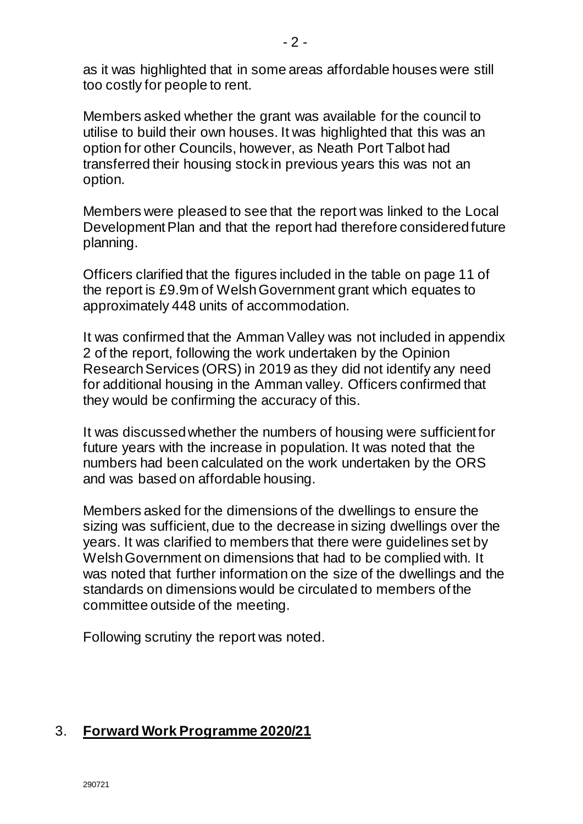as it was highlighted that in some areas affordable houses were still too costly for people to rent.

Members asked whether the grant was available for the council to utilise to build their own houses. It was highlighted that this was an option for other Councils, however, as Neath Port Talbot had transferred their housing stock in previous years this was not an option.

Members were pleased to see that the report was linked to the Local Development Plan and that the report had therefore considered future planning.

Officers clarified that the figures included in the table on page 11 of the report is £9.9m of Welsh Government grant which equates to approximately 448 units of accommodation.

It was confirmed that the Amman Valley was not included in appendix 2 of the report, following the work undertaken by the Opinion Research Services (ORS) in 2019 as they did not identify any need for additional housing in the Amman valley. Officers confirmed that they would be confirming the accuracy of this.

It was discussed whether the numbers of housing were sufficient for future years with the increase in population. It was noted that the numbers had been calculated on the work undertaken by the ORS and was based on affordable housing.

Members asked for the dimensions of the dwellings to ensure the sizing was sufficient, due to the decrease in sizing dwellings over the years. It was clarified to members that there were guidelines set by Welsh Government on dimensions that had to be complied with. It was noted that further information on the size of the dwellings and the standards on dimensions would be circulated to members of the committee outside of the meeting.

Following scrutiny the report was noted.

#### 3. **Forward Work Programme 2020/21**